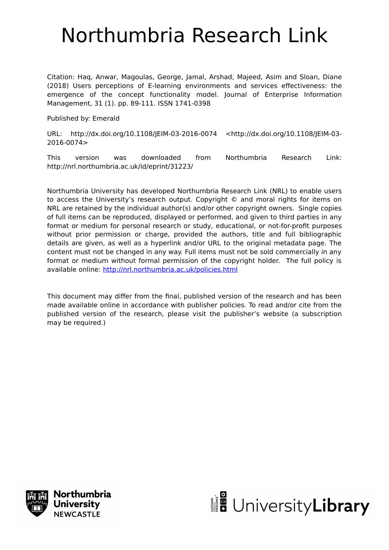# Northumbria Research Link

Citation: Haq, Anwar, Magoulas, George, Jamal, Arshad, Majeed, Asim and Sloan, Diane (2018) Users perceptions of E-learning environments and services effectiveness: the emergence of the concept functionality model. Journal of Enterprise Information Management, 31 (1). pp. 89-111. ISSN 1741-0398

Published by: Emerald

URL: http://dx.doi.org/10.1108/JEIM-03-2016-0074 <http://dx.doi.org/10.1108/JEIM-03- 2016-0074>

This version was downloaded from Northumbria Research Link: http://nrl.northumbria.ac.uk/id/eprint/31223/

Northumbria University has developed Northumbria Research Link (NRL) to enable users to access the University's research output. Copyright © and moral rights for items on NRL are retained by the individual author(s) and/or other copyright owners. Single copies of full items can be reproduced, displayed or performed, and given to third parties in any format or medium for personal research or study, educational, or not-for-profit purposes without prior permission or charge, provided the authors, title and full bibliographic details are given, as well as a hyperlink and/or URL to the original metadata page. The content must not be changed in any way. Full items must not be sold commercially in any format or medium without formal permission of the copyright holder. The full policy is available online:<http://nrl.northumbria.ac.uk/policies.html>

This document may differ from the final, published version of the research and has been made available online in accordance with publisher policies. To read and/or cite from the published version of the research, please visit the publisher's website (a subscription may be required.)



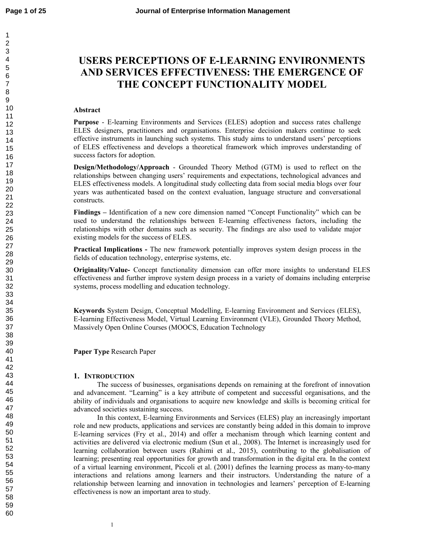# **USERS PERCEPTIONS OF E-LEARNING ENVIRONMENTS AND SERVICES EFFECTIVENESS: THE EMERGENCE OF THE CONCEPT FUNCTIONALITY MODEL**

#### **Abstract**

**Purpose** - E-learning Environments and Services (ELES) adoption and success rates challenge ELES designers, practitioners and organisations. Enterprise decision makers continue to seek effective instruments in launching such systems. This study aims to understand users' perceptions of ELES effectiveness and develops a theoretical framework which improves understanding of success factors for adoption.

**Design/Methodology/Approach** - Grounded Theory Method (GTM) is used to reflect on the relationships between changing users' requirements and expectations, technological advances and ELES effectiveness models. A longitudinal study collecting data from social media blogs over four years was authenticated based on the context evaluation, language structure and conversational constructs.

**Findings –** Identification of a new core dimension named "Concept Functionality" which can be used to understand the relationships between E-learning effectiveness factors, including the relationships with other domains such as security. The findings are also used to validate major existing models for the success of ELES.

**Practical Implications -** The new framework potentially improves system design process in the fields of education technology, enterprise systems, etc.

**Originality/Value-** Concept functionality dimension can offer more insights to understand ELES effectiveness and further improve system design process in a variety of domains including enterprise systems, process modelling and education technology.

**Keywords** System Design, Conceptual Modelling, E-learning Environment and Services (ELES), E-learning Effectiveness Model, Virtual Learning Environment (VLE), Grounded Theory Method, Massively Open Online Courses (MOOCS, Education Technology

**Paper Type** Research Paper

#### **1. INTRODUCTION**

The success of businesses, organisations depends on remaining at the forefront of innovation and advancement. "Learning" is a key attribute of competent and successful organisations, and the ability of individuals and organisations to acquire new knowledge and skills is becoming critical for advanced societies sustaining success.

In this context, E-learning Environments and Services (ELES) play an increasingly important role and new products, applications and services are constantly being added in this domain to improve E-learning services (Fry et al., 2014) and offer a mechanism through which learning content and activities are delivered via electronic medium (Sun et al., 2008). The Internet is increasingly used for learning collaboration between users (Rahimi et al., 2015), contributing to the globalisation of learning; presenting real opportunities for growth and transformation in the digital era. In the context of a virtual learning environment, Piccoli et al. (2001) defines the learning process as many-to-many interactions and relations among learners and their instructors. Understanding the nature of a relationship between learning and innovation in technologies and learners' perception of E-learning effectiveness is now an important area to study.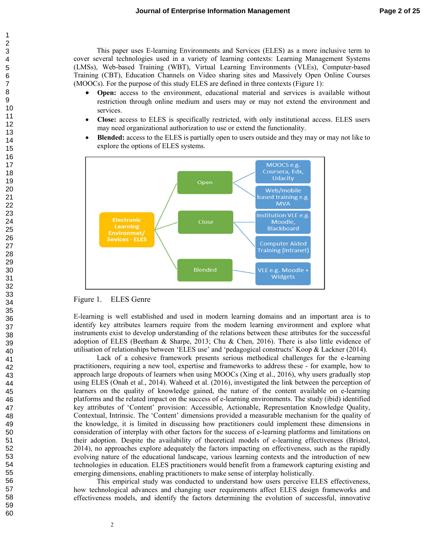This paper uses E-learning Environments and Services (ELES) as a more inclusive term to cover several technologies used in a variety of learning contexts: Learning Management Systems (LMSs), Web-based Training (WBT), Virtual Learning Environments (VLEs), Computer-based Training (CBT), Education Channels on Video sharing sites and Massively Open Online Courses (MOOCs). For the purpose of this study ELES are defined in three contexts (Figure 1):

- **Open:** access to the environment, educational material and services is available without restriction through online medium and users may or may not extend the environment and services.
- **Close:** access to ELES is specifically restricted, with only institutional access. ELES users may need organizational authorization to use or extend the functionality.
- **Blended:** access to the ELES is partially open to users outside and they may or may not like to explore the options of ELES systems.



#### Figure 1. ELES Genre

E-learning is well established and used in modern learning domains and an important area is to identify key attributes learners require from the modern learning environment and explore what instruments exist to develop understanding of the relations between these attributes for the successful adoption of ELES (Beetham & Sharpe, 2013; Chu & Chen, 2016). There is also little evidence of utilisation of relationships between 'ELES use' and 'pedagogical constructs' Koop & Lackner (2014).

Lack of a cohesive framework presents serious methodical challenges for the e-learning practitioners, requiring a new tool, expertise and frameworks to address these - for example, how to approach large dropouts of learners when using MOOCs (Xing et al., 2016), why users gradually stop using ELES (Onah et al., 2014). Waheed et al. (2016), investigated the link between the perception of learners on the quality of knowledge gained, the nature of the content available on e-learning platforms and the related impact on the success of e-learning environments. The study (ibid) identified key attributes of 'Content' provision: Accessible, Actionable, Representation Knowledge Quality, Contextual, Intrinsic. The 'Content' dimensions provided a measurable mechanism for the quality of the knowledge, it is limited in discussing how practitioners could implement these dimensions in consideration of interplay with other factors for the success of e-learning platforms and limitations on their adoption. Despite the availability of theoretical models of e-learning effectiveness (Bristol, 2014), no approaches explore adequately the factors impacting on effectiveness, such as the rapidly evolving nature of the educational landscape, various learning contexts and the introduction of new technologies in education. ELES practitioners would benefit from a framework capturing existing and emerging dimensions, enabling practitioners to make sense of interplay holistically.

This empirical study was conducted to understand how users perceive ELES effectiveness, how technological advances and changing user requirements affect ELES design frameworks and effectiveness models, and identify the factors determining the evolution of successful, innovative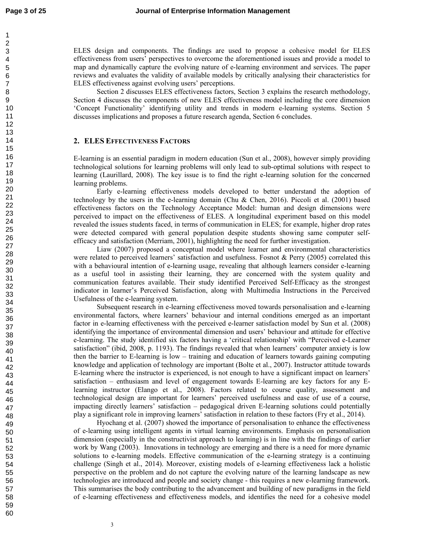ELES design and components. The findings are used to propose a cohesive model for ELES effectiveness from users' perspectives to overcome the aforementioned issues and provide a model to map and dynamically capture the evolving nature of e-learning environment and services. The paper reviews and evaluates the validity of available models by critically analysing their characteristics for ELES effectiveness against evolving users' perceptions.

Section 2 discusses ELES effectiveness factors, Section 3 explains the research methodology, Section 4 discusses the components of new ELES effectiveness model including the core dimension 'Concept Functionality' identifying utility and trends in modern e-learning systems. Section 5 discusses implications and proposes a future research agenda, Section 6 concludes.

### **2. ELES EFFECTIVENESS FACTORS**

E-learning is an essential paradigm in modern education (Sun et al., 2008), however simply providing technological solutions for learning problems will only lead to sub-optimal solutions with respect to learning (Laurillard, 2008). The key issue is to find the right e-learning solution for the concerned learning problems.

Early e-learning effectiveness models developed to better understand the adoption of technology by the users in the e-learning domain (Chu & Chen, 2016). Piccoli et al. (2001) based effectiveness factors on the Technology Acceptance Model: human and design dimensions were perceived to impact on the effectiveness of ELES. A longitudinal experiment based on this model revealed the issues students faced, in terms of communication in ELES; for example, higher drop rates were detected compared with general population despite students showing same computer selfefficacy and satisfaction (Merriam, 2001), highlighting the need for further investigation.

Liaw (2007) proposed a conceptual model where learner and environmental characteristics were related to perceived learners' satisfaction and usefulness. Fosnot & Perry (2005) correlated this with a behavioural intention of e-learning usage, revealing that although learners consider e-learning as a useful tool in assisting their learning, they are concerned with the system quality and communication features available. Their study identified Perceived Self-Efficacy as the strongest indicator in learner's Perceived Satisfaction, along with Multimedia Instructions in the Perceived Usefulness of the e-learning system.

Subsequent research in e-learning effectiveness moved towards personalisation and e-learning environmental factors, where learners' behaviour and internal conditions emerged as an important factor in e-learning effectiveness with the perceived e-learner satisfaction model by Sun et al. (2008) identifying the importance of environmental dimension and users' behaviour and attitude for effective e-learning. The study identified six factors having a 'critical relationship' with "Perceived e-Learner satisfaction" (ibid, 2008, p. 1193). The findings revealed that when learners' computer anxiety is low then the barrier to E-learning is low – training and education of learners towards gaining computing knowledge and application of technology are important (Bolte et al., 2007). Instructor attitude towards E-learning where the instructor is experienced, is not enough to have a significant impact on learners' satisfaction – enthusiasm and level of engagement towards E-learning are key factors for any Elearning instructor (Elango et al., 2008). Factors related to course quality, assessment and technological design are important for learners' perceived usefulness and ease of use of a course, impacting directly learners' satisfaction – pedagogical driven E-learning solutions could potentially play a significant role in improving learners' satisfaction in relation to these factors (Fry et al., 2014).

Hyochang et al. (2007) showed the importance of personalisation to enhance the effectiveness of e-learning using intelligent agents in virtual learning environments. Emphasis on personalisation dimension (especially in the constructivist approach to learning) is in line with the findings of earlier work by Wang (2003). Innovations in technology are emerging and there is a need for more dynamic solutions to e-learning models. Effective communication of the e-learning strategy is a continuing challenge (Singh et al., 2014). Moreover, existing models of e-learning effectiveness lack a holistic perspective on the problem and do not capture the evolving nature of the learning landscape as new technologies are introduced and people and society change - this requires a new e-learning framework. This summarises the body contributing to the advancement and building of new paradigms in the field of e-learning effectiveness and effectiveness models, and identifies the need for a cohesive model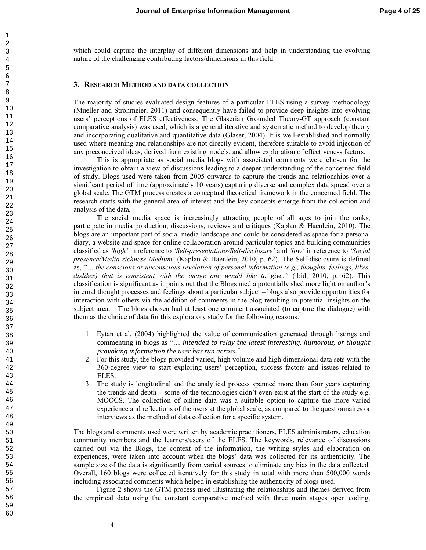which could capture the interplay of different dimensions and help in understanding the evolving nature of the challenging contributing factors/dimensions in this field.

#### **3. RESEARCH METHOD AND DATA COLLECTION**

The majority of studies evaluated design features of a particular ELES using a survey methodology (Mueller and Strohmeier, 2011) and consequently have failed to provide deep insights into evolving users' perceptions of ELES effectiveness. The Glaserian Grounded Theory-GT approach (constant comparative analysis) was used, which is a general iterative and systematic method to develop theory and incorporating qualitative and quantitative data (Glaser, 2004). It is well-established and normally used where meaning and relationships are not directly evident, therefore suitable to avoid injection of any preconceived ideas, derived from existing models, and allow exploration of effectiveness factors.

This is appropriate as social media blogs with associated comments were chosen for the investigation to obtain a view of discussions leading to a deeper understanding of the concerned field of study. Blogs used were taken from 2005 onwards to capture the trends and relationships over a significant period of time (approximately 10 years) capturing diverse and complex data spread over a global scale. The GTM process creates a conceptual theoretical framework in the concerned field. The research starts with the general area of interest and the key concepts emerge from the collection and analysis of the data.

The social media space is increasingly attracting people of all ages to join the ranks, participate in media production, discussions, reviews and critiques (Kaplan & Haenlein, 2010). The blogs are an important part of social media landscape and could be considered as space for a personal diary, a website and space for online collaboration around particular topics and building communities classified as *'high'* in reference to *'Self-presentations/Self-disclosure'* and *'low'* in reference to *'Social presence/Media richness Medium'* (Kaplan & Haenlein, 2010, p. 62). The Self-disclosure is defined as, *"… the conscious or unconscious revelation of personal information (e.g., thoughts, feelings, likes, dislikes) that is consistent with the image one would like to give."* (ibid, 2010, p. 62). This classification is significant as it points out that the Blogs media potentially shed more light on author's internal thought processes and feelings about a particular subject – blogs also provide opportunities for interaction with others via the addition of comments in the blog resulting in potential insights on the subject area. The blogs chosen had at least one comment associated (to capture the dialogue) with them as the choice of data for this exploratory study for the following reasons:

- 1. Eytan et al. (2004) highlighted the value of communication generated through listings and commenting in blogs as "… *intended to relay the latest interesting, humorous, or thought provoking information the user has run across."*
- 2. For this study, the blogs provided varied, high volume and high dimensional data sets with the 360-degree view to start exploring users' perception, success factors and issues related to ELES.
- 3. The study is longitudinal and the analytical process spanned more than four years capturing the trends and depth – some of the technologies didn't even exist at the start of the study e.g. MOOCS. The collection of online data was a suitable option to capture the more varied experience and reflections of the users at the global scale, as compared to the questionnaires or interviews as the method of data collection for a specific system.

The blogs and comments used were written by academic practitioners, ELES administrators, education community members and the learners/users of the ELES. The keywords, relevance of discussions carried out via the Blogs, the context of the information, the writing styles and elaboration on experiences, were taken into account when the blogs' data was collected for its authenticity. The sample size of the data is significantly from varied sources to eliminate any bias in the data collected. Overall, 160 blogs were collected iteratively for this study in total with more than 500,000 words including associated comments which helped in establishing the authenticity of blogs used.

Figure 2 shows the GTM process used illustrating the relationships and themes derived from the empirical data using the constant comparative method with three main stages open coding,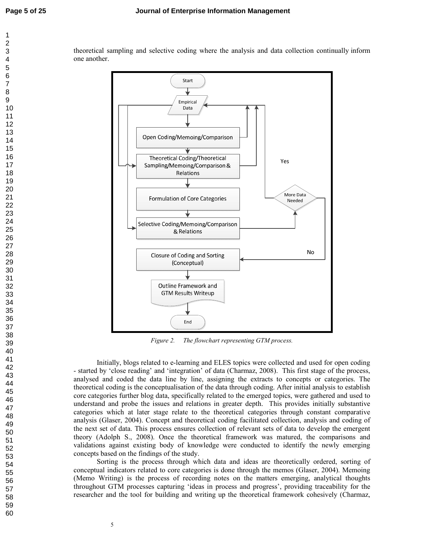theoretical sampling and selective coding where the analysis and data collection continually inform one another.



*Figure 2. The flowchart representing GTM process.* 

Initially, blogs related to e-learning and ELES topics were collected and used for open coding - started by 'close reading' and 'integration' of data (Charmaz, 2008). This first stage of the process, analysed and coded the data line by line, assigning the extracts to concepts or categories. The theoretical coding is the conceptualisation of the data through coding. After initial analysis to establish core categories further blog data, specifically related to the emerged topics, were gathered and used to understand and probe the issues and relations in greater depth. This provides initially substantive categories which at later stage relate to the theoretical categories through constant comparative analysis (Glaser, 2004). Concept and theoretical coding facilitated collection, analysis and coding of the next set of data. This process ensures collection of relevant sets of data to develop the emergent theory (Adolph S., 2008). Once the theoretical framework was matured, the comparisons and validations against existing body of knowledge were conducted to identify the newly emerging concepts based on the findings of the study.

Sorting is the process through which data and ideas are theoretically ordered, sorting of conceptual indicators related to core categories is done through the memos (Glaser, 2004). Memoing (Memo Writing) is the process of recording notes on the matters emerging, analytical thoughts throughout GTM processes capturing 'ideas in process and progress', providing traceability for the researcher and the tool for building and writing up the theoretical framework cohesively (Charmaz,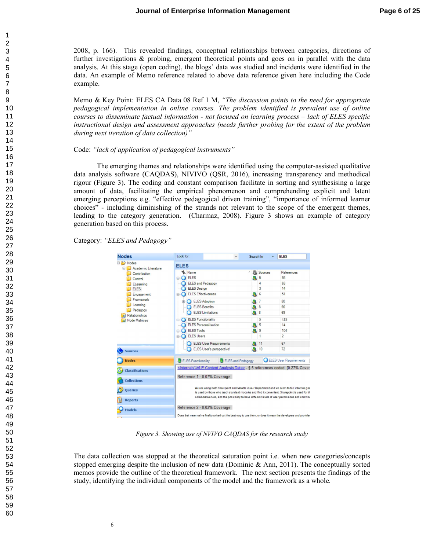2008, p. 166). This revealed findings, conceptual relationships between categories, directions of further investigations & probing, emergent theoretical points and goes on in parallel with the data analysis. At this stage (open coding), the blogs' data was studied and incidents were identified in the data. An example of Memo reference related to above data reference given here including the Code example.

Memo & Key Point: ELES CA Data 08 Ref 1 M, *"The discussion points to the need for appropriate pedagogical implementation in online courses. The problem identified is prevalent use of online courses to disseminate factual information - not focused on learning process – lack of ELES specific instructional design and assessment approaches (needs further probing for the extent of the problem during next iteration of data collection)"*

#### Code: *"lack of application of pedagogical instruments"*

The emerging themes and relationships were identified using the computer-assisted qualitative data analysis software (CAQDAS), NIVIVO (QSR, 2016), increasing transparency and methodical rigour (Figure 3). The coding and constant comparison facilitate in sorting and synthesising a large amount of data, facilitating the empirical phenomenon and comprehending explicit and latent emerging perceptions e.g. "effective pedagogical driven training", "importance of informed learner choices" - including diminishing of the strands not relevant to the scope of the emergent themes, leading to the category generation. (Charmaz, 2008). Figure 3 shows an example of category generation based on this process.

Category: *"ELES and Pedagogy"* 

| <b>Nodes</b>                                                                                                                                                           | Look for:                                                                                                                                                                                                                                                                                       | Search In<br>۰    | ٠                                     | <b>ELES</b>                                    |  |
|------------------------------------------------------------------------------------------------------------------------------------------------------------------------|-------------------------------------------------------------------------------------------------------------------------------------------------------------------------------------------------------------------------------------------------------------------------------------------------|-------------------|---------------------------------------|------------------------------------------------|--|
| Nodes                                                                                                                                                                  | <b>ELES</b>                                                                                                                                                                                                                                                                                     |                   |                                       |                                                |  |
| Academic Literature<br>Contribution<br>Control<br>ELearning<br><b>ELES</b><br>Engagement<br>Framework<br>Learning<br>Pedagogy<br>Relationships<br><b>Node Matrices</b> | Name<br><b>ELES</b><br><b>B</b><br><b>ELES and Pedagogy</b><br><b>ELES</b> Design<br><b>ELES Effectiveness</b><br><b>ELES Adoption</b><br>田<br><b>ELES</b> Benefits                                                                                                                             |                   | Sources<br>5<br>4<br>3<br>6<br>7<br>8 | References<br>93<br>63<br>14<br>51<br>80<br>90 |  |
|                                                                                                                                                                        | <b>ELES</b> Limitations<br><b>ELES Functionality</b><br>田                                                                                                                                                                                                                                       |                   | -8<br>9                               | 69<br>129                                      |  |
|                                                                                                                                                                        | <b>ELES Personalisation</b><br><b>ELES Tools</b><br>田<br><b>ELES Users</b><br>e.                                                                                                                                                                                                                |                   | 5<br>9<br>1                           | 14<br>104<br>$\overline{2}$                    |  |
| ,,,,,,,,,<br><b>Sources</b>                                                                                                                                            | <b>ELES User Requirements</b><br>ELES User's perspective!                                                                                                                                                                                                                                       |                   | 11<br>10                              | 67<br>72                                       |  |
| <b>Nodes</b>                                                                                                                                                           | ELES Functionality                                                                                                                                                                                                                                                                              | ELES and Pedagogy |                                       | ELES User Requirements                         |  |
| <b>Classifications</b>                                                                                                                                                 | <internals\\vle analysis="" content="" data=""> - § 5 references coded [0.27% Cover</internals\\vle>                                                                                                                                                                                            |                   |                                       |                                                |  |
| <b>Collections</b>                                                                                                                                                     | Reference 1 - 0.07% Coverage                                                                                                                                                                                                                                                                    |                   |                                       |                                                |  |
| Queries<br><b>Reports</b>                                                                                                                                              | We are using both Sharepoint and Moodle in our Department and we seem to fall into two gro<br>is used by those who teach standard modules and find it convenient. Sharepoint is used for th<br>collaborativeness, and the possibility to have different levels of user permissions and contribu |                   |                                       |                                                |  |
| <b>Models</b>                                                                                                                                                          | Reference 2 - 0.03% Coverage<br>Does that mean we've finally worked out the best way to use them, or does it mean the developers and provider                                                                                                                                                   |                   |                                       |                                                |  |

*Figure 3. Showing use of NVIVO CAQDAS for the research study* 

The data collection was stopped at the theoretical saturation point i.e. when new categories/concepts stopped emerging despite the inclusion of new data (Dominic  $\&$  Ann, 2011). The conceptually sorted memos provide the outline of the theoretical framework. The next section presents the findings of the study, identifying the individual components of the model and the framework as a whole.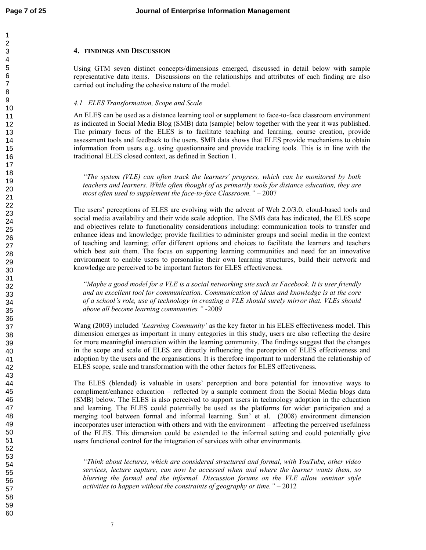#### **4. FINDINGS AND DISCUSSION**

Using GTM seven distinct concepts/dimensions emerged, discussed in detail below with sample representative data items. Discussions on the relationships and attributes of each finding are also carried out including the cohesive nature of the model.

#### *4.1 ELES Transformation, Scope and Scale*

An ELES can be used as a distance learning tool or supplement to face-to-face classroom environment as indicated in Social Media Blog (SMB) data (sample) below together with the year it was published. The primary focus of the ELES is to facilitate teaching and learning, course creation, provide assessment tools and feedback to the users. SMB data shows that ELES provide mechanisms to obtain information from users e.g. using questionnaire and provide tracking tools. This is in line with the traditional ELES closed context, as defined in Section 1.

*"The system (VLE) can often track the learners' progress, which can be monitored by both teachers and learners. While often thought of as primarily tools for distance education, they are*  most often used to supplement the face-to-face Classroom." - 2007

The users' perceptions of ELES are evolving with the advent of Web 2.0/3.0, cloud-based tools and social media availability and their wide scale adoption. The SMB data has indicated, the ELES scope and objectives relate to functionality considerations including: communication tools to transfer and enhance ideas and knowledge; provide facilities to administer groups and social media in the context of teaching and learning; offer different options and choices to facilitate the learners and teachers which best suit them. The focus on supporting learning communities and need for an innovative environment to enable users to personalise their own learning structures, build their network and knowledge are perceived to be important factors for ELES effectiveness.

*"Maybe a good model for a VLE is a social networking site such as Facebook. It is user friendly and an excellent tool for communication. Communication of ideas and knowledge is at the core of a school's role, use of technology in creating a VLE should surely mirror that. VLEs should above all become learning communities."* -2009

Wang (2003) included *'Learning Community'* as the key factor in his ELES effectiveness model. This dimension emerges as important in many categories in this study, users are also reflecting the desire for more meaningful interaction within the learning community. The findings suggest that the changes in the scope and scale of ELES are directly influencing the perception of ELES effectiveness and adoption by the users and the organisations. It is therefore important to understand the relationship of ELES scope, scale and transformation with the other factors for ELES effectiveness.

The ELES (blended) is valuable in users' perception and bore potential for innovative ways to compliment/enhance education – reflected by a sample comment from the Social Media blogs data (SMB) below. The ELES is also perceived to support users in technology adoption in the education and learning. The ELES could potentially be used as the platforms for wider participation and a merging tool between formal and informal learning. Sun' et al. (2008) environment dimension incorporates user interaction with others and with the environment – affecting the perceived usefulness of the ELES. This dimension could be extended to the informal setting and could potentially give users functional control for the integration of services with other environments.

*"Think about lectures, which are considered structured and formal, with YouTube, other video services, lecture capture, can now be accessed when and where the learner wants them, so blurring the formal and the informal. Discussion forums on the VLE allow seminar style activities to happen without the constraints of geography or time."* – 2012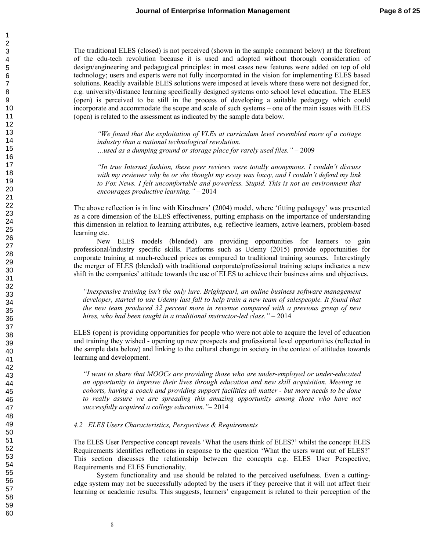The traditional ELES (closed) is not perceived (shown in the sample comment below) at the forefront of the edu-tech revolution because it is used and adopted without thorough consideration of design/engineering and pedagogical principles: in most cases new features were added on top of old technology; users and experts were not fully incorporated in the vision for implementing ELES based solutions. Readily available ELES solutions were imposed at levels where these were not designed for, e.g. university/distance learning specifically designed systems onto school level education. The ELES (open) is perceived to be still in the process of developing a suitable pedagogy which could incorporate and accommodate the scope and scale of such systems – one of the main issues with ELES (open) is related to the assessment as indicated by the sample data below.

*"We found that the exploitation of VLEs at curriculum level resembled more of a cottage industry than a national technological revolution. …used as a dumping ground or storage place for rarely used files." –* 2009

*"In true Internet fashion, these peer reviews were totally anonymous. I couldn't discuss with my reviewer why he or she thought my essay was lousy, and I couldn't defend my link to Fox News. I felt uncomfortable and powerless. Stupid. This is not an environment that encourages productive learning."* – 2014

The above reflection is in line with Kirschners' (2004) model, where 'fitting pedagogy' was presented as a core dimension of the ELES effectiveness, putting emphasis on the importance of understanding this dimension in relation to learning attributes, e.g. reflective learners, active learners, problem-based learning etc.

New ELES models (blended) are providing opportunities for learners to gain professional/industry specific skills. Platforms such as Udemy (2015) provide opportunities for corporate training at much-reduced prices as compared to traditional training sources. Interestingly the merger of ELES (blended) with traditional corporate/professional training setups indicates a new shift in the companies' attitude towards the use of ELES to achieve their business aims and objectives.

*"Inexpensive training isn't the only lure. Brightpearl, an online business software management developer, started to use Udemy last fall to help train a new team of salespeople. It found that the new team produced 32 percent more in revenue compared with a previous group of new hires, who had been taught in a traditional instructor-led class."* – 2014

ELES (open) is providing opportunities for people who were not able to acquire the level of education and training they wished - opening up new prospects and professional level opportunities (reflected in the sample data below) and linking to the cultural change in society in the context of attitudes towards learning and development.

*"I want to share that MOOCs are providing those who are under-employed or under-educated an opportunity to improve their lives through education and new skill acquisition. Meeting in cohorts, having a coach and providing support facilities all matter - but more needs to be done*  to really assure we are spreading this amazing opportunity among those who have not *successfully acquired a college education."*– 2014

#### *4.2 ELES Users Characteristics, Perspectives & Requirements*

The ELES User Perspective concept reveals 'What the users think of ELES?' whilst the concept ELES Requirements identifies reflections in response to the question 'What the users want out of ELES?' This section discusses the relationship between the concepts e.g. ELES User Perspective, Requirements and ELES Functionality.

System functionality and use should be related to the perceived usefulness. Even a cuttingedge system may not be successfully adopted by the users if they perceive that it will not affect their learning or academic results. This suggests, learners' engagement is related to their perception of the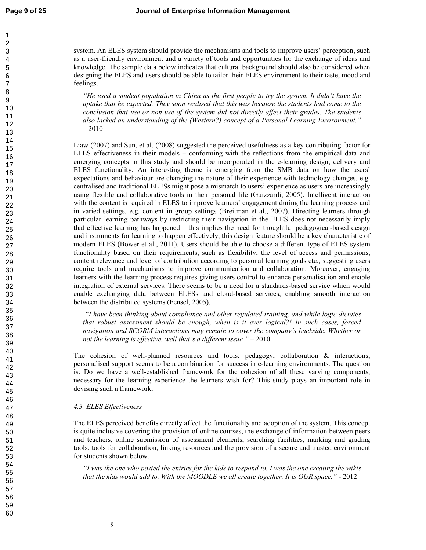system. An ELES system should provide the mechanisms and tools to improve users' perception, such as a user-friendly environment and a variety of tools and opportunities for the exchange of ideas and knowledge. The sample data below indicates that cultural background should also be considered when designing the ELES and users should be able to tailor their ELES environment to their taste, mood and feelings.

*"He used a student population in China as the first people to try the system. It didn't have the uptake that he expected. They soon realised that this was because the students had come to the conclusion that use or non-use of the system did not directly affect their grades. The students also lacked an understanding of the (Western?) concept of a Personal Learning Environment."*  – 2010

Liaw (2007) and Sun, et al. (2008) suggested the perceived usefulness as a key contributing factor for ELES effectiveness in their models – conforming with the reflections from the empirical data and emerging concepts in this study and should be incorporated in the e-learning design, delivery and ELES functionality. An interesting theme is emerging from the SMB data on how the users' expectations and behaviour are changing the nature of their experience with technology changes, e.g. centralised and traditional ELESs might pose a mismatch to users' experience as users are increasingly using flexible and collaborative tools in their personal life (Guizzardi, 2005). Intelligent interaction with the content is required in ELES to improve learners' engagement during the learning process and in varied settings, e.g. content in group settings (Breitman et al., 2007). Directing learners through particular learning pathways by restricting their navigation in the ELES does not necessarily imply that effective learning has happened – this implies the need for thoughtful pedagogical-based design and instruments for learning to happen effectively, this design feature should be a key characteristic of modern ELES (Bower et al., 2011). Users should be able to choose a different type of ELES system functionality based on their requirements, such as flexibility, the level of access and permissions, content relevance and level of contribution according to personal learning goals etc., suggesting users require tools and mechanisms to improve communication and collaboration. Moreover, engaging learners with the learning process requires giving users control to enhance personalisation and enable integration of external services. There seems to be a need for a standards-based service which would enable exchanging data between ELESs and cloud-based services, enabling smooth interaction between the distributed systems (Fensel, 2005).

 *"I have been thinking about compliance and other regulated training, and while logic dictates that robust assessment should be enough, when is it ever logical?! In such cases, forced navigation and SCORM interactions may remain to cover the company's backside. Whether or not the learning is effective, well that's a different issue."* – 2010

The cohesion of well-planned resources and tools; pedagogy; collaboration  $\&$  interactions; personalised support seems to be a combination for success in e-learning environments. The question is: Do we have a well-established framework for the cohesion of all these varying components, necessary for the learning experience the learners wish for? This study plays an important role in devising such a framework.

### *4.3 ELES Effectiveness*

The ELES perceived benefits directly affect the functionality and adoption of the system. This concept is quite inclusive covering the provision of online courses, the exchange of information between peers and teachers, online submission of assessment elements, searching facilities, marking and grading tools, tools for collaboration, linking resources and the provision of a secure and trusted environment for students shown below.

*"I was the one who posted the entries for the kids to respond to. I was the one creating the wikis that the kids would add to. With the MOODLE we all create together. It is OUR space."* - 2012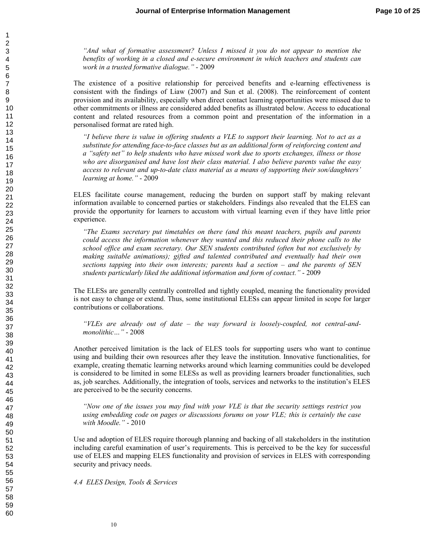*"And what of formative assessment? Unless I missed it you do not appear to mention the benefits of working in a closed and e-secure environment in which teachers and students can work in a trusted formative dialogue."* - 2009

The existence of a positive relationship for perceived benefits and e-learning effectiveness is consistent with the findings of Liaw (2007) and Sun et al. (2008). The reinforcement of content provision and its availability, especially when direct contact learning opportunities were missed due to other commitments or illness are considered added benefits as illustrated below. Access to educational content and related resources from a common point and presentation of the information in a personalised format are rated high.

*"I believe there is value in offering students a VLE to support their learning. Not to act as a substitute for attending face-to-face classes but as an additional form of reinforcing content and a "safety net" to help students who have missed work due to sports exchanges, illness or those who are disorganised and have lost their class material. I also believe parents value the easy access to relevant and up-to-date class material as a means of supporting their son/daughters' learning at home."* - 2009

ELES facilitate course management, reducing the burden on support staff by making relevant information available to concerned parties or stakeholders. Findings also revealed that the ELES can provide the opportunity for learners to accustom with virtual learning even if they have little prior experience.

*"The Exams secretary put timetables on there (and this meant teachers, pupils and parents could access the information whenever they wanted and this reduced their phone calls to the school office and exam secretary. Our SEN students contributed (often but not exclusively by making suitable animations); gifted and talented contributed and eventually had their own sections tapping into their own interests; parents had a section – and the parents of SEN students particularly liked the additional information and form of contact."* - 2009

The ELESs are generally centrally controlled and tightly coupled, meaning the functionality provided is not easy to change or extend. Thus, some institutional ELESs can appear limited in scope for larger contributions or collaborations.

*"VLEs are already out of date – the way forward is loosely-coupled, not central-andmonolithic…"* - 2008

Another perceived limitation is the lack of ELES tools for supporting users who want to continue using and building their own resources after they leave the institution. Innovative functionalities, for example, creating thematic learning networks around which learning communities could be developed is considered to be limited in some ELESs as well as providing learners broader functionalities, such as, job searches. Additionally, the integration of tools, services and networks to the institution's ELES are perceived to be the security concerns.

*"Now one of the issues you may find with your VLE is that the security settings restrict you using embedding code on pages or discussions forums on your VLE; this is certainly the case with Moodle."* - 2010

Use and adoption of ELES require thorough planning and backing of all stakeholders in the institution including careful examination of user's requirements. This is perceived to be the key for successful use of ELES and mapping ELES functionality and provision of services in ELES with corresponding security and privacy needs.

*4.4 ELES Design, Tools & Services*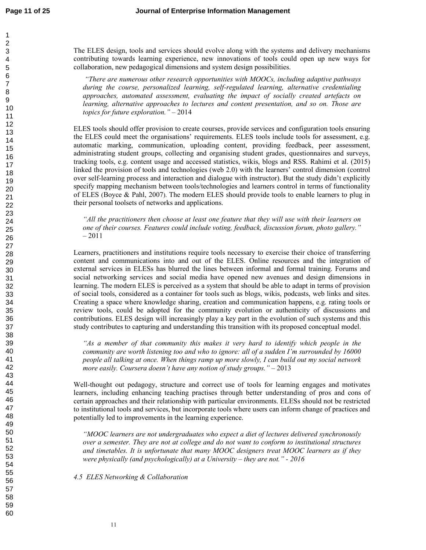The ELES design, tools and services should evolve along with the systems and delivery mechanisms contributing towards learning experience, new innovations of tools could open up new ways for collaboration, new pedagogical dimensions and system design possibilities.

 *"There are numerous other research opportunities with MOOCs, including adaptive pathways during the course, personalized learning, self-regulated learning, alternative credentialing approaches, automated assessment, evaluating the impact of socially created artefacts on learning, alternative approaches to lectures and content presentation, and so on. Those are topics for future exploration."* – 2014

ELES tools should offer provision to create courses, provide services and configuration tools ensuring the ELES could meet the organisations' requirements. ELES tools include tools for assessment, e.g. automatic marking, communication, uploading content, providing feedback, peer assessment, administrating student groups, collecting and organising student grades, questionnaires and surveys, tracking tools, e.g. content usage and accessed statistics, wikis, blogs and RSS. Rahimi et al. (2015) linked the provision of tools and technologies (web 2.0) with the learners' control dimension (control over self-learning process and interaction and dialogue with instructor). But the study didn't explicitly specify mapping mechanism between tools/technologies and learners control in terms of functionality of ELES (Boyce & Pahl, 2007). The modern ELES should provide tools to enable learners to plug in their personal toolsets of networks and applications.

*"All the practitioners then choose at least one feature that they will use with their learners on one of their courses. Features could include voting, feedback, discussion forum, photo gallery."* – 2011

Learners, practitioners and institutions require tools necessary to exercise their choice of transferring content and communications into and out of the ELES. Online resources and the integration of external services in ELESs has blurred the lines between informal and formal training. Forums and social networking services and social media have opened new avenues and design dimensions in learning. The modern ELES is perceived as a system that should be able to adapt in terms of provision of social tools, considered as a container for tools such as blogs, wikis, podcasts, web links and sites. Creating a space where knowledge sharing, creation and communication happens, e.g. rating tools or review tools, could be adopted for the community evolution or authenticity of discussions and contributions. ELES design will increasingly play a key part in the evolution of such systems and this study contributes to capturing and understanding this transition with its proposed conceptual model.

*"As a member of that community this makes it very hard to identify which people in the community are worth listening too and who to ignore: all of a sudden I'm surrounded by 16000 people all talking at once. When things ramp up more slowly, I can build out my social network more easily. Coursera doesn't have any notion of study groups."* – 2013

Well-thought out pedagogy, structure and correct use of tools for learning engages and motivates learners, including enhancing teaching practises through better understanding of pros and cons of certain approaches and their relationship with particular environments. ELESs should not be restricted to institutional tools and services, but incorporate tools where users can inform change of practices and potentially led to improvements in the learning experience.

*"MOOC learners are not undergraduates who expect a diet of lectures delivered synchronously over a semester. They are not at college and do not want to conform to institutional structures and timetables. It is unfortunate that many MOOC designers treat MOOC learners as if they were physically (and psychologically) at a University – they are not." - 2016* 

*4.5 ELES Networking & Collaboration*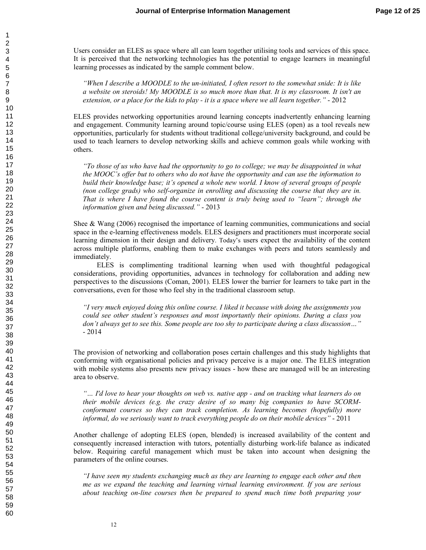Users consider an ELES as space where all can learn together utilising tools and services of this space. It is perceived that the networking technologies has the potential to engage learners in meaningful learning processes as indicated by the sample comment below.

*"When I describe a MOODLE to the un-initiated, I often resort to the somewhat snide: It is like a website on steroids! My MOODLE is so much more than that. It is my classroom. It isn't an extension, or a place for the kids to play - it is a space where we all learn together."* - 2012

ELES provides networking opportunities around learning concepts inadvertently enhancing learning and engagement. Community learning around topic/course using ELES (open) as a tool reveals new opportunities, particularly for students without traditional college/university background, and could be used to teach learners to develop networking skills and achieve common goals while working with others.

*"To those of us who have had the opportunity to go to college; we may be disappointed in what the MOOC's offer but to others who do not have the opportunity and can use the information to build their knowledge base; it's opened a whole new world. I know of several groups of people (non college grads) who self-organize in enrolling and discussing the course that they are in. That is where I have found the course content is truly being used to "learn"; through the information given and being discussed."* - 2013

Shee & Wang (2006) recognised the importance of learning communities, communications and social space in the e-learning effectiveness models. ELES designers and practitioners must incorporate social learning dimension in their design and delivery. Today's users expect the availability of the content across multiple platforms, enabling them to make exchanges with peers and tutors seamlessly and immediately.

ELES is complimenting traditional learning when used with thoughtful pedagogical considerations, providing opportunities, advances in technology for collaboration and adding new perspectives to the discussions (Coman, 2001). ELES lower the barrier for learners to take part in the conversations, even for those who feel shy in the traditional classroom setup.

*"I very much enjoyed doing this online course. I liked it because with doing the assignments you could see other student's responses and most importantly their opinions. During a class you don't always get to see this. Some people are too shy to participate during a class discussion…"*  - 2014

The provision of networking and collaboration poses certain challenges and this study highlights that conforming with organisational policies and privacy perceive is a major one. The ELES integration with mobile systems also presents new privacy issues - how these are managed will be an interesting area to observe.

*"… I'd love to hear your thoughts on web vs. native app - and on tracking what learners do on their mobile devices (e.g. the crazy desire of so many big companies to have SCORMconformant courses so they can track completion. As learning becomes (hopefully) more informal, do we seriously want to track everything people do on their mobile devices"* - 2011

Another challenge of adopting ELES (open, blended) is increased availability of the content and consequently increased interaction with tutors, potentially disturbing work-life balance as indicated below. Requiring careful management which must be taken into account when designing the parameters of the online courses.

*"I have seen my students exchanging much as they are learning to engage each other and then me as we expand the teaching and learning virtual learning environment. If you are serious about teaching on-line courses then be prepared to spend much time both preparing your* 

60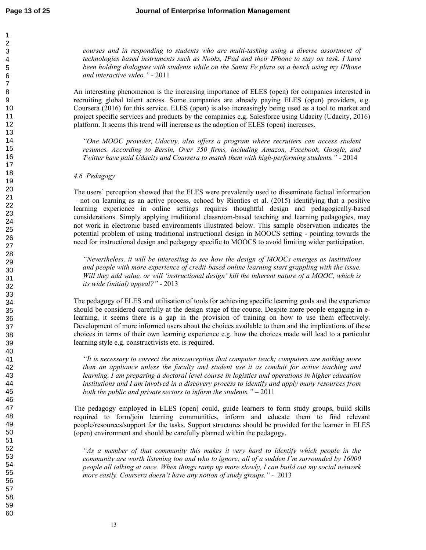*courses and in responding to students who are multi-tasking using a diverse assortment of technologies based instruments such as Nooks, IPad and their IPhone to stay on task. I have been holding dialogues with students while on the Santa Fe plaza on a bench using my IPhone and interactive video."* - 2011

An interesting phenomenon is the increasing importance of ELES (open) for companies interested in recruiting global talent across. Some companies are already paying ELES (open) providers, e.g. Coursera (2016) for this service. ELES (open) is also increasingly being used as a tool to market and project specific services and products by the companies e.g. Salesforce using Udacity (Udacity, 2016) platform. It seems this trend will increase as the adoption of ELES (open) increases.

*"One MOOC provider, Udacity, also offers a program where recruiters can access student resumes. According to Bersin, Over 350 firms, including Amazon, Facebook, Google, and Twitter have paid Udacity and Coursera to match them with high-performing students."* - 2014

### *4.6 Pedagogy*

The users' perception showed that the ELES were prevalently used to disseminate factual information – not on learning as an active process, echoed by Rienties et al. (2015) identifying that a positive learning experience in online settings requires thoughtful design and pedagogically-based considerations. Simply applying traditional classroom-based teaching and learning pedagogies, may not work in electronic based environments illustrated below. This sample observation indicates the potential problem of using traditional instructional design in MOOCS setting - pointing towards the need for instructional design and pedagogy specific to MOOCS to avoid limiting wider participation.

*"Nevertheless, it will be interesting to see how the design of MOOCs emerges as institutions and people with more experience of credit-based online learning start grappling with the issue. Will they add value, or will 'instructional design' kill the inherent nature of a MOOC, which is its wide (initial) appeal?"* - 2013

The pedagogy of ELES and utilisation of tools for achieving specific learning goals and the experience should be considered carefully at the design stage of the course. Despite more people engaging in elearning, it seems there is a gap in the provision of training on how to use them effectively. Development of more informed users about the choices available to them and the implications of these choices in terms of their own learning experience e.g. how the choices made will lead to a particular learning style e.g. constructivists etc. is required.

*"It is necessary to correct the misconception that computer teach; computers are nothing more than an appliance unless the faculty and student use it as conduit for active teaching and learning. I am preparing a doctoral level course in logistics and operations in higher education institutions and I am involved in a discovery process to identify and apply many resources from both the public and private sectors to inform the students." –* 2011

The pedagogy employed in ELES (open) could, guide learners to form study groups, build skills required to form/join learning communities, inform and educate them to find relevant people/resources/support for the tasks. Support structures should be provided for the learner in ELES (open) environment and should be carefully planned within the pedagogy.

*"As a member of that community this makes it very hard to identify which people in the community are worth listening too and who to ignore: all of a sudden I'm surrounded by 16000 people all talking at once. When things ramp up more slowly, I can build out my social network more easily. Coursera doesn't have any notion of study groups."* - 2013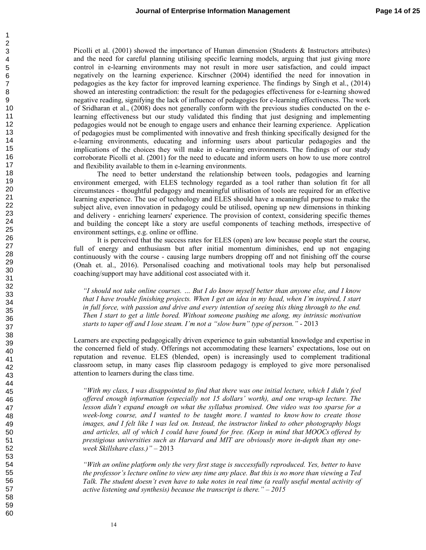Picolli et al. (2001) showed the importance of Human dimension (Students & Instructors attributes) and the need for careful planning utilising specific learning models, arguing that just giving more control in e-learning environments may not result in more user satisfaction, and could impact negatively on the learning experience. Kirschner (2004) identified the need for innovation in pedagogies as the key factor for improved learning experience. The findings by Singh et al., (2014) showed an interesting contradiction: the result for the pedagogies effectiveness for e-learning showed negative reading, signifying the lack of influence of pedagogies for e-learning effectiveness. The work of Sridharan et al., (2008) does not generally conform with the previous studies conducted on the elearning effectiveness but our study validated this finding that just designing and implementing pedagogies would not be enough to engage users and enhance their learning experience. Application of pedagogies must be complimented with innovative and fresh thinking specifically designed for the e-learning environments, educating and informing users about particular pedagogies and the implications of the choices they will make in e-learning environments. The findings of our study corroborate Picolli et al. (2001) for the need to educate and inform users on how to use more control and flexibility available to them in e-learning environments.

The need to better understand the relationship between tools, pedagogies and learning environment emerged, with ELES technology regarded as a tool rather than solution fit for all circumstances - thoughtful pedagogy and meaningful utilisation of tools are required for an effective learning experience. The use of technology and ELES should have a meaningful purpose to make the subject alive, even innovation in pedagogy could be utilised, opening up new dimensions in thinking and delivery - enriching learners' experience. The provision of context, considering specific themes and building the concept like a story are useful components of teaching methods, irrespective of environment settings, e.g. online or offline.

It is perceived that the success rates for ELES (open) are low because people start the course, full of energy and enthusiasm but after initial momentum diminishes, end up not engaging continuously with the course - causing large numbers dropping off and not finishing off the course (Onah et. al., 2016). Personalised coaching and motivational tools may help but personalised coaching/support may have additional cost associated with it.

*"I should not take online courses. … But I do know myself better than anyone else, and I know that I have trouble finishing projects. When I get an idea in my head, when I'm inspired, I start in full force, with passion and drive and every intention of seeing this thing through to the end. Then I start to get a little bored. Without someone pushing me along, my intrinsic motivation starts to taper off and I lose steam. I'm not a "slow burn" type of person."* - 2013

Learners are expecting pedagogically driven experience to gain substantial knowledge and expertise in the concerned field of study. Offerings not accommodating these learners' expectations, lose out on reputation and revenue. ELES (blended, open) is increasingly used to complement traditional classroom setup, in many cases flip classroom pedagogy is employed to give more personalised attention to learners during the class time.

*"With my class, I was disappointed to find that there was one initial lecture, which I didn't feel offered enough information (especially not 15 dollars' worth), and one wrap-up lecture. The lesson didn't expand enough on what the syllabus promised. One video was too sparse for a week-long course, and I wanted to be taught more. I wanted to know how to create those images, and I felt like I was led on. Instead, the instructor linked to other photography blogs and articles, all of which I could have found for free. (Keep in mind that MOOCs offered by prestigious universities such as Harvard and MIT are obviously more in-depth than my oneweek Skillshare class.)"* – 2013

*"With an online platform only the very first stage is successfully reproduced. Yes, better to have the professor's lecture online to view any time any place. But this is no more than viewing a Ted Talk. The student doesn't even have to take notes in real time (a really useful mental activity of active listening and synthesis) because the transcript is there." – 2015*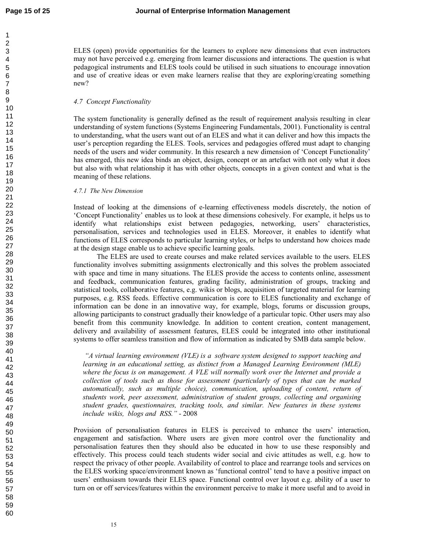ELES (open) provide opportunities for the learners to explore new dimensions that even instructors may not have perceived e.g. emerging from learner discussions and interactions. The question is what pedagogical instruments and ELES tools could be utilised in such situations to encourage innovation and use of creative ideas or even make learners realise that they are exploring/creating something new?

## *4.7 Concept Functionality*

The system functionality is generally defined as the result of requirement analysis resulting in clear understanding of system functions (Systems Engineering Fundamentals, 2001). Functionality is central to understanding, what the users want out of an ELES and what it can deliver and how this impacts the user's perception regarding the ELES. Tools, services and pedagogies offered must adapt to changing needs of the users and wider community. In this research a new dimension of 'Concept Functionality' has emerged, this new idea binds an object, design, concept or an artefact with not only what it does but also with what relationship it has with other objects, concepts in a given context and what is the meaning of these relations.

### *4.7.1 The New Dimension*

Instead of looking at the dimensions of e-learning effectiveness models discretely, the notion of 'Concept Functionality' enables us to look at these dimensions cohesively. For example, it helps us to identify what relationships exist between pedagogies, networking, users' characteristics, personalisation, services and technologies used in ELES. Moreover, it enables to identify what functions of ELES corresponds to particular learning styles, or helps to understand how choices made at the design stage enable us to achieve specific learning goals.

The ELES are used to create courses and make related services available to the users. ELES functionality involves submitting assignments electronically and this solves the problem associated with space and time in many situations. The ELES provide the access to contents online, assessment and feedback, communication features, grading facility, administration of groups, tracking and statistical tools, collaborative features, e.g. wikis or blogs, acquisition of targeted material for learning purposes, e.g. RSS feeds. Effective communication is core to ELES functionality and exchange of information can be done in an innovative way, for example, blogs, forums or discussion groups, allowing participants to construct gradually their knowledge of a particular topic. Other users may also benefit from this community knowledge. In addition to content creation, content management, delivery and availability of assessment features, ELES could be integrated into other institutional systems to offer seamless transition and flow of information as indicated by SMB data sample below.

 *"A virtual learning environment (VLE) is a software system designed to support teaching and learning in an educational setting, as distinct from a Managed Learning Environment (MLE) where the focus is on management. A VLE will normally work over the Internet and provide a collection of tools such as those for assessment (particularly of types that can be marked automatically, such as multiple choice), communication, uploading of content, return of students work, peer assessment, administration of student groups, collecting and organising student grades, questionnaires, tracking tools, and similar. New features in these systems include wikis, blogs and RSS."* - 2008

Provision of personalisation features in ELES is perceived to enhance the users' interaction, engagement and satisfaction. Where users are given more control over the functionality and personalisation features then they should also be educated in how to use these responsibly and effectively. This process could teach students wider social and civic attitudes as well, e.g. how to respect the privacy of other people. Availability of control to place and rearrange tools and services on the ELES working space/environment known as 'functional control' tend to have a positive impact on users' enthusiasm towards their ELES space. Functional control over layout e.g. ability of a user to turn on or off services/features within the environment perceive to make it more useful and to avoid in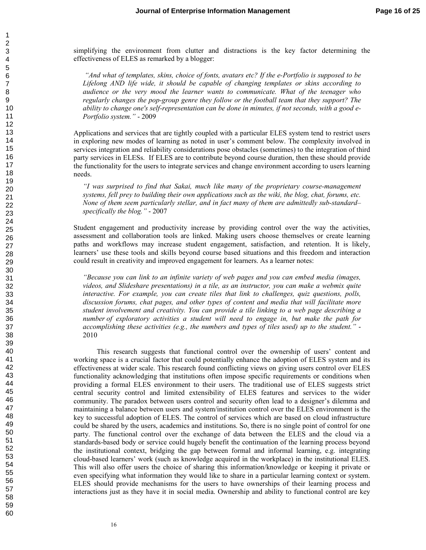simplifying the environment from clutter and distractions is the key factor determining the effectiveness of ELES as remarked by a blogger:

 *"And what of templates, skins, choice of fonts, avatars etc? If the e-Portfolio is supposed to be Lifelong AND life wide, it should be capable of changing templates or skins according to audience or the very mood the learner wants to communicate. What of the teenager who regularly changes the pop-group genre they follow or the football team that they support? The ability to change one's self-representation can be done in minutes, if not seconds, with a good e-Portfolio system."* - 2009

Applications and services that are tightly coupled with a particular ELES system tend to restrict users in exploring new modes of learning as noted in user's comment below. The complexity involved in services integration and reliability considerations pose obstacles (sometimes) to the integration of third party services in ELESs. If ELES are to contribute beyond course duration, then these should provide the functionality for the users to integrate services and change environment according to users learning needs.

*"I was surprised to find that Sakai, much like many of the proprietary course-management systems, fell prey to building their own applications such as the wiki, the blog, chat, forums, etc. None of them seem particularly stellar, and in fact many of them are admittedly sub-standard– specifically the blog."* - 2007

Student engagement and productivity increase by providing control over the way the activities, assessment and collaboration tools are linked. Making users choose themselves or create learning paths and workflows may increase student engagement, satisfaction, and retention. It is likely, learners' use these tools and skills beyond course based situations and this freedom and interaction could result in creativity and improved engagement for learners. As a learner notes:

*"Because you can link to an infinite variety of web pages and you can embed media (images, videos, and Slideshare presentations) in a tile, as an instructor, you can make a webmix quite interactive. For example, you can create tiles that link to challenges, quiz questions, polls, discussion forums, chat pages, and other types of content and media that will facilitate more student involvement and creativity. You can provide a tile linking to a web page describing a number of exploratory activities a student will need to engage in, but make the path for accomplishing these activities (e.g., the numbers and types of tiles used) up to the student."* - 2010

This research suggests that functional control over the ownership of users' content and working space is a crucial factor that could potentially enhance the adoption of ELES system and its effectiveness at wider scale. This research found conflicting views on giving users control over ELES functionality acknowledging that institutions often impose specific requirements or conditions when providing a formal ELES environment to their users. The traditional use of ELES suggests strict central security control and limited extensibility of ELES features and services to the wider community. The paradox between users control and security often lead to a designer's dilemma and maintaining a balance between users and system/institution control over the ELES environment is the key to successful adoption of ELES. The control of services which are based on cloud infrastructure could be shared by the users, academics and institutions. So, there is no single point of control for one party. The functional control over the exchange of data between the ELES and the cloud via a standards-based body or service could hugely benefit the continuation of the learning process beyond the institutional context, bridging the gap between formal and informal learning, e.g. integrating cloud-based learners' work (such as knowledge acquired in the workplace) in the institutional ELES. This will also offer users the choice of sharing this information/knowledge or keeping it private or even specifying what information they would like to share in a particular learning context or system. ELES should provide mechanisms for the users to have ownerships of their learning process and interactions just as they have it in social media. Ownership and ability to functional control are key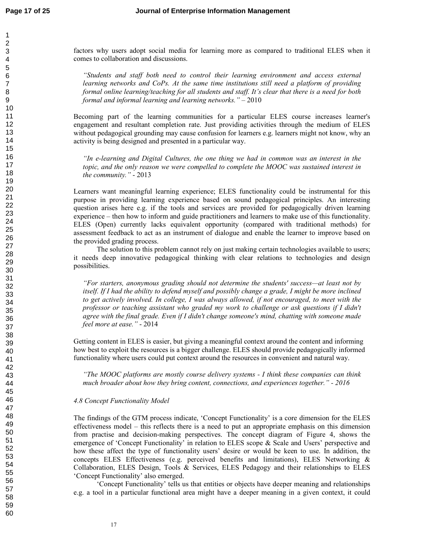factors why users adopt social media for learning more as compared to traditional ELES when it comes to collaboration and discussions.

*"Students and staff both need to control their learning environment and access external learning networks and CoPs. At the same time institutions still need a platform of providing formal online learning/teaching for all students and staff. It's clear that there is a need for both formal and informal learning and learning networks."* – 2010

Becoming part of the learning communities for a particular ELES course increases learner's engagement and resultant completion rate. Just providing activities through the medium of ELES without pedagogical grounding may cause confusion for learners e.g. learners might not know, why an activity is being designed and presented in a particular way.

*"In e-learning and Digital Cultures, the one thing we had in common was an interest in the topic, and the only reason we were compelled to complete the MOOC was sustained interest in the community."* - 2013

Learners want meaningful learning experience; ELES functionality could be instrumental for this purpose in providing learning experience based on sound pedagogical principles. An interesting question arises here e.g. if the tools and services are provided for pedagogically driven learning experience – then how to inform and guide practitioners and learners to make use of this functionality. ELES (Open) currently lacks equivalent opportunity (compared with traditional methods) for assessment feedback to act as an instrument of dialogue and enable the learner to improve based on the provided grading process.

The solution to this problem cannot rely on just making certain technologies available to users; it needs deep innovative pedagogical thinking with clear relations to technologies and design possibilities.

*"For starters, anonymous grading should not determine the students' success—at least not by itself. If I had the ability to defend myself and possibly change a grade, I might be more inclined to get actively involved. In college, I was always allowed, if not encouraged, to meet with the professor or teaching assistant who graded my work to challenge or ask questions if I didn't agree with the final grade. Even if I didn't change someone's mind, chatting with someone made feel more at ease."* - 2014

Getting content in ELES is easier, but giving a meaningful context around the content and informing how best to exploit the resources is a bigger challenge. ELES should provide pedagogically informed functionality where users could put context around the resources in convenient and natural way.

*"The MOOC platforms are mostly course delivery systems - I think these companies can think much broader about how they bring content, connections, and experiences together." - 2016* 

#### *4.8 Concept Functionality Model*

The findings of the GTM process indicate, 'Concept Functionality' is a core dimension for the ELES effectiveness model – this reflects there is a need to put an appropriate emphasis on this dimension from practise and decision-making perspectives. The concept diagram of Figure 4, shows the emergence of 'Concept Functionality' in relation to ELES scope & Scale and Users' perspective and how these affect the type of functionality users' desire or would be keen to use. In addition, the concepts ELES Effectiveness (e.g. perceived benefits and limitations), ELES Networking & Collaboration, ELES Design, Tools & Services, ELES Pedagogy and their relationships to ELES 'Concept Functionality' also emerged.

'Concept Functionality' tells us that entities or objects have deeper meaning and relationships e.g. a tool in a particular functional area might have a deeper meaning in a given context, it could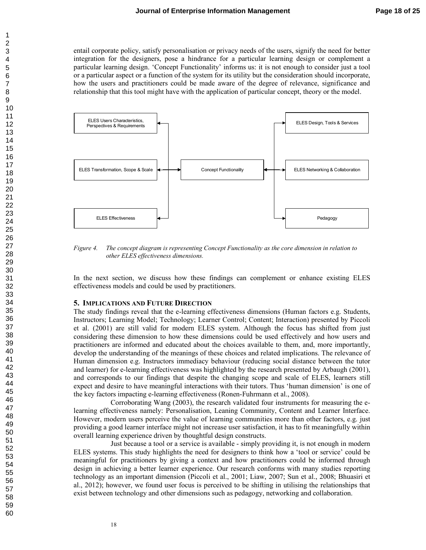entail corporate policy, satisfy personalisation or privacy needs of the users, signify the need for better integration for the designers, pose a hindrance for a particular learning design or complement a particular learning design. 'Concept Functionality' informs us: it is not enough to consider just a tool or a particular aspect or a function of the system for its utility but the consideration should incorporate, how the users and practitioners could be made aware of the degree of relevance, significance and relationship that this tool might have with the application of particular concept, theory or the model.



*Figure 4. The concept diagram is representing Concept Functionality as the core dimension in relation to other ELES effectiveness dimensions.* 

In the next section, we discuss how these findings can complement or enhance existing ELES effectiveness models and could be used by practitioners.

#### **5. IMPLICATIONS AND FUTURE DIRECTION**

The study findings reveal that the e-learning effectiveness dimensions (Human factors e.g. Students, Instructors; Learning Model; Technology; Learner Control; Content; Interaction) presented by Piccoli et al. (2001) are still valid for modern ELES system. Although the focus has shifted from just considering these dimension to how these dimensions could be used effectively and how users and practitioners are informed and educated about the choices available to them, and, more importantly, develop the understanding of the meanings of these choices and related implications. The relevance of Human dimension e.g. Instructors immediacy behaviour (reducing social distance between the tutor and learner) for e-learning effectiveness was highlighted by the research presented by Arbaugh (2001), and corresponds to our findings that despite the changing scope and scale of ELES, learners still expect and desire to have meaningful interactions with their tutors. Thus 'human dimension' is one of the key factors impacting e-learning effectiveness (Ronen-Fuhrmann et al., 2008).

Corroborating Wang (2003), the research validated four instruments for measuring the elearning effectiveness namely: Personalisation, Leaning Community, Content and Learner Interface. However, modern users perceive the value of learning communities more than other factors, e.g. just providing a good learner interface might not increase user satisfaction, it has to fit meaningfully within overall learning experience driven by thoughtful design constructs.

Just because a tool or a service is available - simply providing it, is not enough in modern ELES systems. This study highlights the need for designers to think how a 'tool or service' could be meaningful for practitioners by giving a context and how practitioners could be informed through design in achieving a better learner experience. Our research conforms with many studies reporting technology as an important dimension (Piccoli et al., 2001; Liaw, 2007; Sun et al., 2008; Bhuasiri et al., 2012); however, we found user focus is perceived to be shifting in utilising the relationships that exist between technology and other dimensions such as pedagogy, networking and collaboration.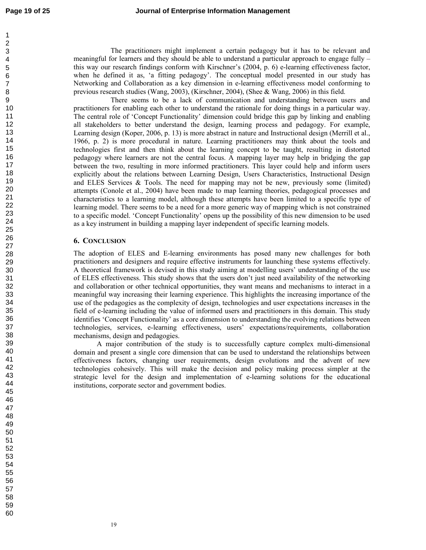60

The practitioners might implement a certain pedagogy but it has to be relevant and meaningful for learners and they should be able to understand a particular approach to engage fully  $$ this way our research findings conform with Kirschner's (2004, p. 6) e-learning effectiveness factor, when he defined it as, 'a fitting pedagogy'. The conceptual model presented in our study has Networking and Collaboration as a key dimension in e-learning effectiveness model conforming to previous research studies (Wang, 2003), (Kirschner, 2004), (Shee & Wang, 2006) in this field.

There seems to be a lack of communication and understanding between users and practitioners for enabling each other to understand the rationale for doing things in a particular way. The central role of 'Concept Functionality' dimension could bridge this gap by linking and enabling all stakeholders to better understand the design, learning process and pedagogy. For example, Learning design (Koper, 2006, p. 13) is more abstract in nature and Instructional design (Merrill et al., 1966, p. 2) is more procedural in nature. Learning practitioners may think about the tools and technologies first and then think about the learning concept to be taught, resulting in distorted pedagogy where learners are not the central focus. A mapping layer may help in bridging the gap between the two, resulting in more informed practitioners. This layer could help and inform users explicitly about the relations between Learning Design, Users Characteristics, Instructional Design and ELES Services & Tools. The need for mapping may not be new, previously some (limited) attempts (Conole et al., 2004) have been made to map learning theories, pedagogical processes and characteristics to a learning model, although these attempts have been limited to a specific type of learning model. There seems to be a need for a more generic way of mapping which is not constrained to a specific model. 'Concept Functionality' opens up the possibility of this new dimension to be used as a key instrument in building a mapping layer independent of specific learning models.

# **6. CONCLUSION**

The adoption of ELES and E-learning environments has posed many new challenges for both practitioners and designers and require effective instruments for launching these systems effectively. A theoretical framework is devised in this study aiming at modelling users' understanding of the use of ELES effectiveness. This study shows that the users don't just need availability of the networking and collaboration or other technical opportunities, they want means and mechanisms to interact in a meaningful way increasing their learning experience. This highlights the increasing importance of the use of the pedagogies as the complexity of design, technologies and user expectations increases in the field of e-learning including the value of informed users and practitioners in this domain. This study identifies 'Concept Functionality' as a core dimension to understanding the evolving relations between technologies, services, e-learning effectiveness, users' expectations/requirements, collaboration mechanisms, design and pedagogies.

A major contribution of the study is to successfully capture complex multi-dimensional domain and present a single core dimension that can be used to understand the relationships between effectiveness factors, changing user requirements, design evolutions and the advent of new technologies cohesively. This will make the decision and policy making process simpler at the strategic level for the design and implementation of e-learning solutions for the educational institutions, corporate sector and government bodies.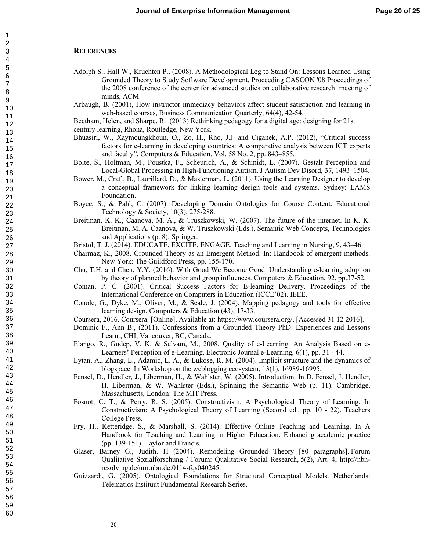#### **REFERENCES**

- Adolph S., Hall W., Kruchten P., (2008). A Methodological Leg to Stand On: Lessons Learned Using Grounded Theory to Study Software Development, Proceeding CASCON '08 Proceedings of the 2008 conference of the center for advanced studies on collaborative research: meeting of minds, ACM.
- Arbaugh, B. (2001), How instructor immediacy behaviors affect student satisfaction and learning in web-based courses, Business Communication Quarterly, 64(4), 42-54.
- Beetham, Helen, and Sharpe, R. (2013) Rethinking pedagogy for a digital age: designing for 21st century learning, Rhona, Routledge, New York.
- Bhuasiri, W., Xaymoungkhoun, O., Zo, H., Rho, J.J. and Ciganek, A.P. (2012), "Critical success factors for e-learning in developing countries: A comparative analysis between ICT experts and faculty", Computers & Education, Vol. 58 No. 2, pp. 843–855.
- Bolte, S., Holtman, M., Poustka, F., Scheurich, A., & Schmidt, L. (2007). Gestalt Perception and Local-Global Processing in High-Functioning Autism. J Autism Dev Disord, 37, 1493–1504.
- Bower, M., Craft, B., Laurillard, D., & Masterman, L. (2011). Using the Learning Designer to develop a conceptual framework for linking learning design tools and systems. Sydney: LAMS Foundation.
- Boyce, S., & Pahl, C. (2007). Developing Domain Ontologies for Course Content. Educational Technology & Society, 10(3), 275-288.
- Breitman, K. K., Caanova, M. A., & Truszkowski, W. (2007). The future of the internet. In K. K. Breitman, M. A. Caanova, & W. Truszkowski (Eds.), Semantic Web Concepts, Technologies and Applications (p. 8). Springer.
- Bristol, T. J. (2014). EDUCATE, EXCITE, ENGAGE. Teaching and Learning in Nursing, 9, 43–46.
- Charmaz, K., 2008. Grounded Theory as an Emergent Method. In: Handbook of emergent methods. New York: The Guildford Press, pp. 155-170.
- Chu, T.H. and Chen, Y.Y. (2016). With Good We Become Good: Understanding e-learning adoption by theory of planned behavior and group influences. Computers & Education, 92, pp.37-52.
- Coman, P. G. (2001). Critical Success Factors for E-learning Delivery. Proceedings of the International Conference on Computers in Education (ICCE'02). IEEE.
- Conole, G., Dyke, M., Oliver, M., & Seale, J. (2004). Mapping pedagogy and tools for effective learning design. Computers & Education (43), 17-33.
- Coursera, 2016. Coursera. [Online], Available at: https://www.coursera.org/, [Accessed 31 12 2016].
- Dominic F., Ann B., (2011). Confessions from a Grounded Theory PhD: Experiences and Lessons Learnt, CHI, Vancouver, BC, Canada.
- Elango, R., Gudep, V. K. & Selvam, M., 2008. Quality of e-Learning: An Analysis Based on e-Learners' Perception of e-Learning. Electronic Journal e-Learning, 6(1), pp. 31 - 44.
- Eytan, A., Zhang, L., Adamic, L. A., & Lukose, R. M. (2004). Implicit structure and the dynamics of blogspace. In Workshop on the weblogging ecosystem, 13(1), 16989-16995.
- Fensel, D., Hendler, J., Liberman, H., & Wahlster, W. (2005). Introduction. In D. Fensel, J. Hendler, H. Liberman, & W. Wahlster (Eds.), Spinning the Semantic Web (p. 11). Cambridge, Massachusetts, London: The MIT Press.
- Fosnot, C. T., & Perry, R. S. (2005). Constructivism: A Psychological Theory of Learning. In Constructivism: A Psychological Theory of Learning (Second ed., pp. 10 - 22). Teachers College Press.
- Fry, H., Ketteridge, S., & Marshall, S. (2014). Effective Online Teaching and Learning. In A Handbook for Teaching and Learning in Higher Education: Enhancing academic practice (pp. 139-151). Taylor and Francis.
- Glaser, Barney G., Judith. H (2004). Remodeling Grounded Theory [80 paragraphs]. Forum Qualitative Sozialforschung / Forum: Qualitative Social Research, 5(2), Art. 4, http://nbnresolving.de/urn:nbn:de:0114-fqs040245.
- Guizzardi, G. (2005). Ontological Foundations for Structural Conceptual Models. Netherlands: Telematics Instituut Fundamental Research Series.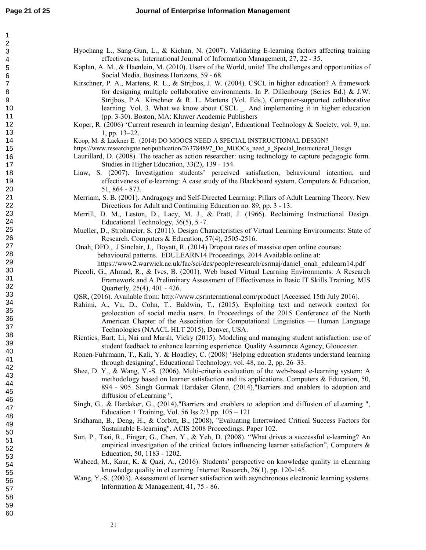| 1       |  |
|---------|--|
|         |  |
|         |  |
|         |  |
|         |  |
|         |  |
|         |  |
|         |  |
|         |  |
|         |  |
|         |  |
|         |  |
|         |  |
|         |  |
|         |  |
|         |  |
|         |  |
|         |  |
|         |  |
|         |  |
|         |  |
|         |  |
|         |  |
|         |  |
|         |  |
|         |  |
|         |  |
|         |  |
|         |  |
|         |  |
|         |  |
|         |  |
|         |  |
|         |  |
|         |  |
|         |  |
|         |  |
|         |  |
|         |  |
|         |  |
|         |  |
|         |  |
| .<br>39 |  |
| 40      |  |
| 41      |  |
| 42      |  |
| 43      |  |
| 44      |  |
| 45      |  |
| 46      |  |
| 47      |  |
|         |  |
| 48      |  |
| 49      |  |
| 50      |  |
| 51      |  |
| 52      |  |
| 53<br>3 |  |
| 54      |  |
| 55      |  |
| 56      |  |
|         |  |
| 57      |  |
| 58<br>ś |  |
| 59      |  |
| 60      |  |

Hyochang L., Sang-Gun, L., & Kichan, N. (2007). Validating E-learning factors affecting training effectiveness. International Journal of Information Management, 27, 22 - 35.

Kaplan, A. M., & Haenlein, M. (2010). Users of the World, unite! The challenges and opportunities of Social Media. Business Horizons, 59 - 68.

- Kirschner, P. A., Martens, R. L., & Strijbos, J. W. (2004). CSCL in higher education? A framework for designing multiple collaborative environments. In P. Dillenbourg (Series Ed.) & J.W. Strijbos, P.A. Kirschner & R. L. Martens (Vol. Eds.), Computer-supported collaborative learning: Vol. 3. What we know about CSCL \_. And implementing it in higher education (pp. 3-30). Boston, MA: Kluwer Academic Publishers
- Koper, R. (2006) 'Current research in learning design', Educational Technology & Society, vol. 9, no. 1, pp. 13–22.

Koop, M. & Lackner E. (2014) DO MOOCS NEED A SPECIAL INSTRUCTIONAL DESIGN?

- https://www.researchgate.net/publication/263784897\_Do\_MOOCs\_need\_a\_Special\_Instructional\_Design
- Laurillard, D. (2008). The teacher as action researcher: using technology to capture pedagogic form. Studies in Higher Education, 33(2), 139 - 154.
- Liaw, S. (2007). Investigation students' perceived satisfaction, behavioural intention, and effectiveness of e-learning: A case study of the Blackboard system. Computers  $\&$  Education, 51, 864 - 873.
- Merriam, S. B. (2001). Andragogy and Self-Directed Learning: Pillars of Adult Learning Theory. New Directions for Adult and Continuiing Education no. 89, pp. 3 - 13.
- Merrill, D. M., Leston, D., Lacy, M. J., & Pratt, J. (1966). Reclaiming Instructional Design. Educational Technology, 36(5), 5 -7.
- Mueller, D., Strohmeier, S. (2011). Design Characteristics of Virtual Learning Environments: State of Research. Computers & Education, 57(4), 2505-2516.
- Onah, DFO., J Sinclair, J., Boyatt, R. (2014) Dropout rates of massive open online courses: behavioural patterns. EDULEARN14 Proceedings, 2014 Available online at: https://www2.warwick.ac.uk/fac/sci/dcs/people/research/csrmaj/daniel\_onah\_edulearn14.pdf
- Piccoli, G., Ahmad, R., & Ives, B. (2001). Web based Virtual Learning Environments: A Research Framework and A Preliminary Assessment of Effectiveness in Basic IT Skills Training. MIS Quarterly, 25(4), 401 - 426.
- QSR, (2016). Available from: http://www.qsrinternational.com/product [Accessed 15th July 2016].
- Rahimi, A., Vu, D., Cohn, T., Baldwin, T., (2015). Exploiting text and network context for geolocation of social media users. In Proceedings of the 2015 Conference of the North American Chapter of the Association for Computational Linguistics — Human Language Technologies (NAACL HLT 2015), Denver, USA.
- Rienties, Bart; Li, Nai and Marsh, Vicky (2015). Modeling and managing student satisfaction: use of student feedback to enhance learning experience. Quality Assurance Agency, Gloucester.
- Ronen-Fuhrmann, T., Kali, Y. & Hoadley, C. (2008) 'Helping education students understand learning through designing', Educational Technology, vol. 48, no. 2, pp. 26–33.
- Shee, D. Y., & Wang, Y.-S. (2006). Multi-criteria evaluation of the web-based e-learning system: A methodology based on learner satisfaction and its applications. Computers & Education, 50, 894 - 905. Singh Gurmak Hardaker Glenn, (2014),"Barriers and enablers to adoption and diffusion of eLearning ",
- Singh, G., & Hardaker, G., (2014),"Barriers and enablers to adoption and diffusion of eLearning ", Education + Training, Vol. 56 Iss  $2/3$  pp.  $105 - 121$
- Sridharan, B., Deng, H., & Corbitt, B., (2008), "Evaluating Intertwined Critical Success Factors for Sustainable E-learning". ACIS 2008 Proceedings. Paper 102.
- Sun, P., Tsai, R., Finger, G., Chen, Y., & Yeh, D. (2008). "What drives a successful e-learning? An empirical investigation of the critical factors influencing learner satisfaction", Computers  $\&$ Education, 50, 1183 - 1202.
- Waheed, M., Kaur, K. & Qazi, A., (2016). Students' perspective on knowledge quality in eLearning knowledge quality in eLearning. Internet Research, 26(1), pp. 120-145.
- Wang, Y.-S. (2003). Assessment of learner satisfaction with asynchronous electronic learning systems. Information & Management, 41, 75 - 86.